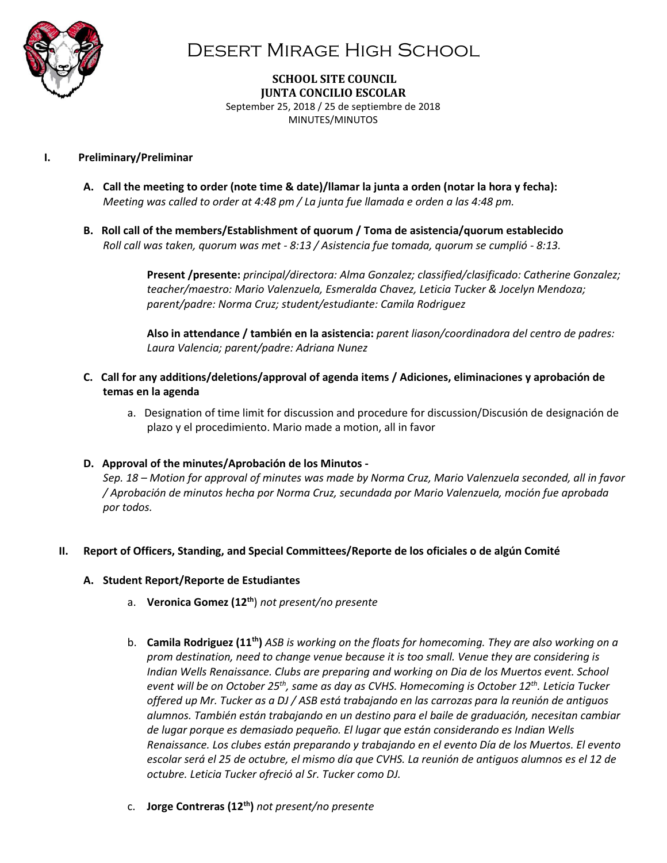

**SCHOOL SITE COUNCIL JUNTA CONCILIO ESCOLAR** September 25, 2018 / 25 de septiembre de 2018 MINUTES/MINUTOS

### **I. Preliminary/Preliminar**

- **A. Call the meeting to order (note time & date)/llamar la junta a orden (notar la hora y fecha):**  *Meeting was called to order at 4:48 pm / La junta fue llamada e orden a las 4:48 pm.*
- **B. Roll call of the members/Establishment of quorum / Toma de asistencia/quorum establecido** *Roll call was taken, quorum was met - 8:13 / Asistencia fue tomada, quorum se cumplió - 8:13.*

**Present /presente:** *principal/directora: Alma Gonzalez; classified/clasificado: Catherine Gonzalez; teacher/maestro: Mario Valenzuela, Esmeralda Chavez, Leticia Tucker & Jocelyn Mendoza; parent/padre: Norma Cruz; student/estudiante: Camila Rodriguez*

**Also in attendance / también en la asistencia:** *parent liason/coordinadora del centro de padres: Laura Valencia; parent/padre: Adriana Nunez*

- **C. Call for any additions/deletions/approval of agenda items / Adiciones, eliminaciones y aprobación de temas en la agenda**
	- a.Designation of time limit for discussion and procedure for discussion/Discusión de designación de plazo y el procedimiento. Mario made a motion, all in favor

### **D. Approval of the minutes/Aprobación de los Minutos -**

*Sep. 18 – Motion for approval of minutes was made by Norma Cruz, Mario Valenzuela seconded, all in favor / Aprobación de minutos hecha por Norma Cruz, secundada por Mario Valenzuela, moción fue aprobada por todos.* 

### **II. Report of Officers, Standing, and Special Committees/Reporte de los oficiales o de algún Comité**

### **A. Student Report/Reporte de Estudiantes**

- a. **Veronica Gomez (12th**) *not present/no presente*
- b. **Camila Rodriguez (11th)** *ASB is working on the floats for homecoming. They are also working on a prom destination, need to change venue because it is too small. Venue they are considering is Indian Wells Renaissance. Clubs are preparing and working on Dia de los Muertos event. School event will be on October 25th, same as day as CVHS. Homecoming is October 12th . Leticia Tucker offered up Mr. Tucker as a DJ / ASB está trabajando en las carrozas para la reunión de antiguos alumnos. También están trabajando en un destino para el baile de graduación, necesitan cambiar de lugar porque es demasiado pequeño. El lugar que están considerando es Indian Wells Renaissance. Los clubes están preparando y trabajando en el evento Día de los Muertos. El evento escolar será el 25 de octubre, el mismo día que CVHS. La reunión de antiguos alumnos es el 12 de octubre. Leticia Tucker ofreció al Sr. Tucker como DJ.*
- c. **Jorge Contreras (12th)** *not present/no presente*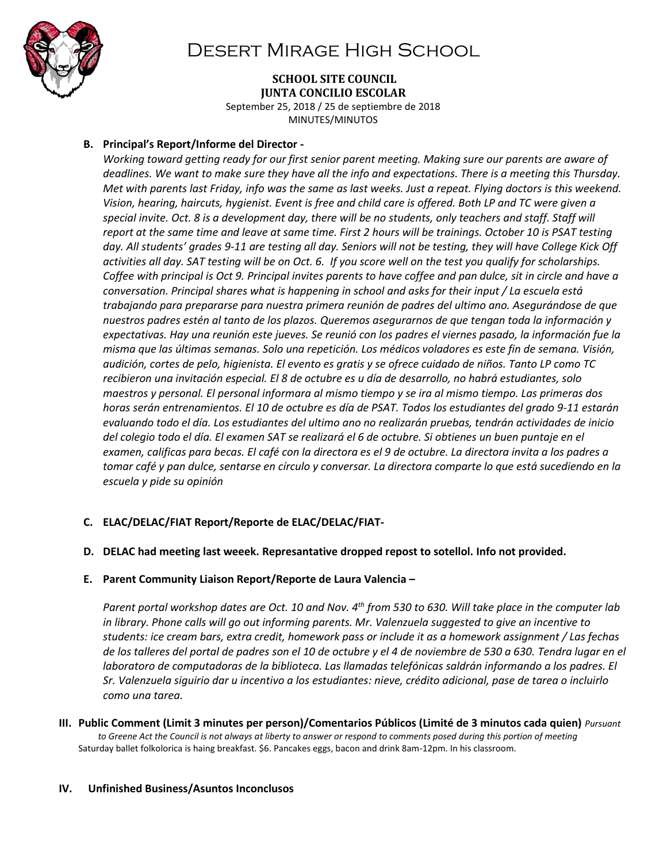

#### **SCHOOL SITE COUNCIL JUNTA CONCILIO ESCOLAR**

September 25, 2018 / 25 de septiembre de 2018 MINUTES/MINUTOS

### **B. Principal's Report/Informe del Director -**

*Working toward getting ready for our first senior parent meeting. Making sure our parents are aware of deadlines. We want to make sure they have all the info and expectations. There is a meeting this Thursday. Met with parents last Friday, info was the same as last weeks. Just a repeat. Flying doctors is this weekend. Vision, hearing, haircuts, hygienist. Event is free and child care is offered. Both LP and TC were given a special invite. Oct. 8 is a development day, there will be no students, only teachers and staff. Staff will report at the same time and leave at same time. First 2 hours will be trainings. October 10 is PSAT testing day. All students' grades 9-11 are testing all day. Seniors will not be testing, they will have College Kick Off activities all day. SAT testing will be on Oct. 6. If you score well on the test you qualify for scholarships. Coffee with principal is Oct 9. Principal invites parents to have coffee and pan dulce, sit in circle and have a conversation. Principal shares what is happening in school and asks for their input / La escuela está trabajando para prepararse para nuestra primera reunión de padres del ultimo ano. Asegurándose de que nuestros padres estén al tanto de los plazos. Queremos asegurarnos de que tengan toda la información y expectativas. Hay una reunión este jueves. Se reunió con los padres el viernes pasado, la información fue la misma que las últimas semanas. Solo una repetición. Los médicos voladores es este fin de semana. Visión, audición, cortes de pelo, higienista. El evento es gratis y se ofrece cuidado de niños. Tanto LP como TC recibieron una invitación especial. El 8 de octubre es u día de desarrollo, no habrá estudiantes, solo maestros y personal. El personal informara al mismo tiempo y se ira al mismo tiempo. Las primeras dos horas serán entrenamientos. El 10 de octubre es día de PSAT. Todos los estudiantes del grado 9-11 estarán evaluando todo el día. Los estudiantes del ultimo ano no realizarán pruebas, tendrán actividades de inicio del colegio todo el día. El examen SAT se realizará el 6 de octubre. Si obtienes un buen puntaje en el examen, calificas para becas. El café con la directora es el 9 de octubre. La directora invita a los padres a tomar café y pan dulce, sentarse en círculo y conversar. La directora comparte lo que está sucediendo en la escuela y pide su opinión* 

## **C. ELAC/DELAC/FIAT Report/Reporte de ELAC/DELAC/FIAT-**

### **D. DELAC had meeting last weeek. Represantative dropped repost to sotellol. Info not provided.**

### **E. Parent Community Liaison Report/Reporte de Laura Valencia –**

*Parent portal workshop dates are Oct. 10 and Nov. 4 th from 530 to 630. Will take place in the computer lab in library. Phone calls will go out informing parents. Mr. Valenzuela suggested to give an incentive to students: ice cream bars, extra credit, homework pass or include it as a homework assignment / Las fechas de los talleres del portal de padres son el 10 de octubre y el 4 de noviembre de 530 a 630. Tendra lugar en el laboratoro de computadoras de la biblioteca. Las llamadas telefónicas saldrán informando a los padres. El Sr. Valenzuela siguirio dar u incentivo a los estudiantes: nieve, crédito adicional, pase de tarea o incluirlo como una tarea.* 

**III. Public Comment (Limit 3 minutes per person)/Comentarios Públicos (Limité de 3 minutos cada quien)** *Pursuant to Greene Act the Council is not always at liberty to answer or respond to comments posed during this portion of meeting* Saturday ballet folkolorica is haing breakfast. \$6. Pancakes eggs, bacon and drink 8am-12pm. In his classroom.

#### **IV. Unfinished Business/Asuntos Inconclusos**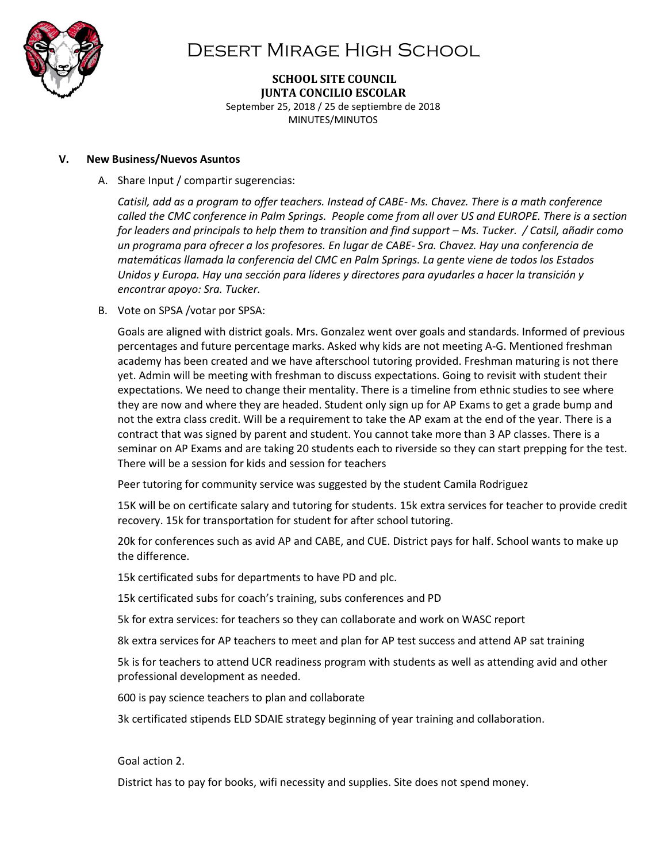

**SCHOOL SITE COUNCIL JUNTA CONCILIO ESCOLAR** September 25, 2018 / 25 de septiembre de 2018 MINUTES/MINUTOS

#### **V. New Business/Nuevos Asuntos**

A. Share Input / compartir sugerencias:

*Catisil, add as a program to offer teachers. Instead of CABE- Ms. Chavez. There is a math conference called the CMC conference in Palm Springs. People come from all over US and EUROPE. There is a section for leaders and principals to help them to transition and find support – Ms. Tucker. / Catsil, añadir como un programa para ofrecer a los profesores. En lugar de CABE- Sra. Chavez. Hay una conferencia de matemáticas llamada la conferencia del CMC en Palm Springs. La gente viene de todos los Estados Unidos y Europa. Hay una sección para líderes y directores para ayudarles a hacer la transición y encontrar apoyo: Sra. Tucker.* 

B. Vote on SPSA /votar por SPSA:

Goals are aligned with district goals. Mrs. Gonzalez went over goals and standards. Informed of previous percentages and future percentage marks. Asked why kids are not meeting A-G. Mentioned freshman academy has been created and we have afterschool tutoring provided. Freshman maturing is not there yet. Admin will be meeting with freshman to discuss expectations. Going to revisit with student their expectations. We need to change their mentality. There is a timeline from ethnic studies to see where they are now and where they are headed. Student only sign up for AP Exams to get a grade bump and not the extra class credit. Will be a requirement to take the AP exam at the end of the year. There is a contract that was signed by parent and student. You cannot take more than 3 AP classes. There is a seminar on AP Exams and are taking 20 students each to riverside so they can start prepping for the test. There will be a session for kids and session for teachers

Peer tutoring for community service was suggested by the student Camila Rodriguez

15K will be on certificate salary and tutoring for students. 15k extra services for teacher to provide credit recovery. 15k for transportation for student for after school tutoring.

20k for conferences such as avid AP and CABE, and CUE. District pays for half. School wants to make up the difference.

15k certificated subs for departments to have PD and plc.

15k certificated subs for coach's training, subs conferences and PD

5k for extra services: for teachers so they can collaborate and work on WASC report

8k extra services for AP teachers to meet and plan for AP test success and attend AP sat training

5k is for teachers to attend UCR readiness program with students as well as attending avid and other professional development as needed.

600 is pay science teachers to plan and collaborate

3k certificated stipends ELD SDAIE strategy beginning of year training and collaboration.

Goal action 2.

District has to pay for books, wifi necessity and supplies. Site does not spend money.